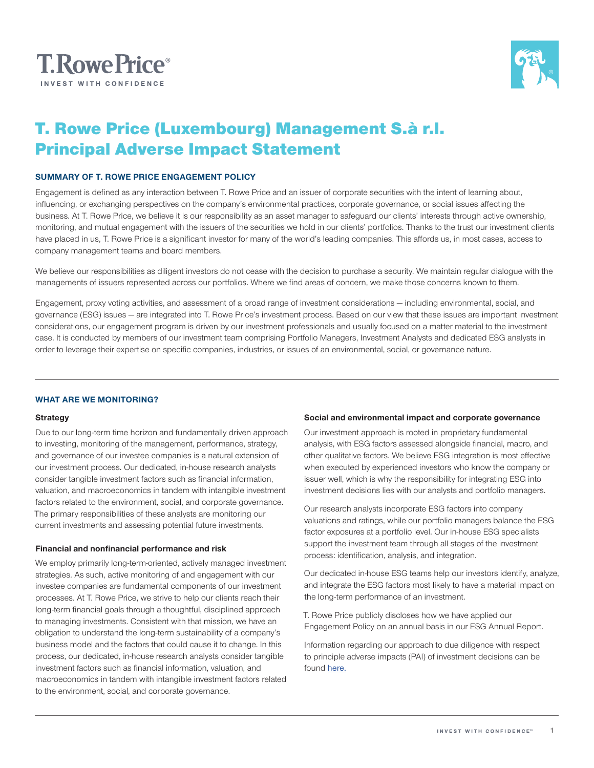



# T. Rowe Price (Luxembourg) Management S.à r.l. Principal Adverse Impact Statement

## **SUMMARY OF T. ROWE PRICE ENGAGEMENT POLICY**

Engagement is defined as any interaction between T. Rowe Price and an issuer of corporate securities with the intent of learning about, influencing, or exchanging perspectives on the company's environmental practices, corporate governance, or social issues affecting the business. At T. Rowe Price, we believe it is our responsibility as an asset manager to safeguard our clients' interests through active ownership, monitoring, and mutual engagement with the issuers of the securities we hold in our clients' portfolios. Thanks to the trust our investment clients have placed in us, T. Rowe Price is a significant investor for many of the world's leading companies. This affords us, in most cases, access to company management teams and board members.

We believe our responsibilities as diligent investors do not cease with the decision to purchase a security. We maintain regular dialogue with the managements of issuers represented across our portfolios. Where we find areas of concern, we make those concerns known to them.

Engagement, proxy voting activities, and assessment of a broad range of investment considerations — including environmental, social, and governance (ESG) issues — are integrated into T. Rowe Price's investment process. Based on our view that these issues are important investment considerations, our engagement program is driven by our investment professionals and usually focused on a matter material to the investment case. It is conducted by members of our investment team comprising Portfolio Managers, Investment Analysts and dedicated ESG analysts in order to leverage their expertise on specific companies, industries, or issues of an environmental, social, or governance nature.

## **WHAT ARE WE MONITORING?**

### **Strategy**

Due to our long-term time horizon and fundamentally driven approach to investing, monitoring of the management, performance, strategy, and governance of our investee companies is a natural extension of our investment process. Our dedicated, in-house research analysts consider tangible investment factors such as financial information, valuation, and macroeconomics in tandem with intangible investment factors related to the environment, social, and corporate governance. The primary responsibilities of these analysts are monitoring our current investments and assessing potential future investments.

### **Financial and nonfinancial performance and risk**

We employ primarily long-term-oriented, actively managed investment strategies. As such, active monitoring of and engagement with our investee companies are fundamental components of our investment processes. At T. Rowe Price, we strive to help our clients reach their long-term financial goals through a thoughtful, disciplined approach to managing investments. Consistent with that mission, we have an obligation to understand the long-term sustainability of a company's business model and the factors that could cause it to change. In this process, our dedicated, in-house research analysts consider tangible investment factors such as financial information, valuation, and macroeconomics in tandem with intangible investment factors related to the environment, social, and corporate governance.

#### **Social and environmental impact and corporate governance**

Our investment approach is rooted in proprietary fundamental analysis, with ESG factors assessed alongside financial, macro, and other qualitative factors. We believe ESG integration is most effective when executed by experienced investors who know the company or issuer well, which is why the responsibility for integrating ESG into investment decisions lies with our analysts and portfolio managers.

Our research analysts incorporate ESG factors into company valuations and ratings, while our portfolio managers balance the ESG factor exposures at a portfolio level. Our in-house ESG specialists support the investment team through all stages of the investment process: identification, analysis, and integration.

Our dedicated in-house ESG teams help our investors identify, analyze, and integrate the ESG factors most likely to have a material impact on the long-term performance of an investment.

T. Rowe Price publicly discloses how we have applied our Engagement Policy on an annual basis in our ESG Annual Report.

Information regarding our approach to due diligence with respect to principle adverse impacts (PAI) of investment decisions can be found [here.](https://www.troweprice.com/content/dam/trowecorp/Pdfs/CCON0073183%20PAI%20POLICY%20UPDATES.Flyer%200121%20P1.pdf)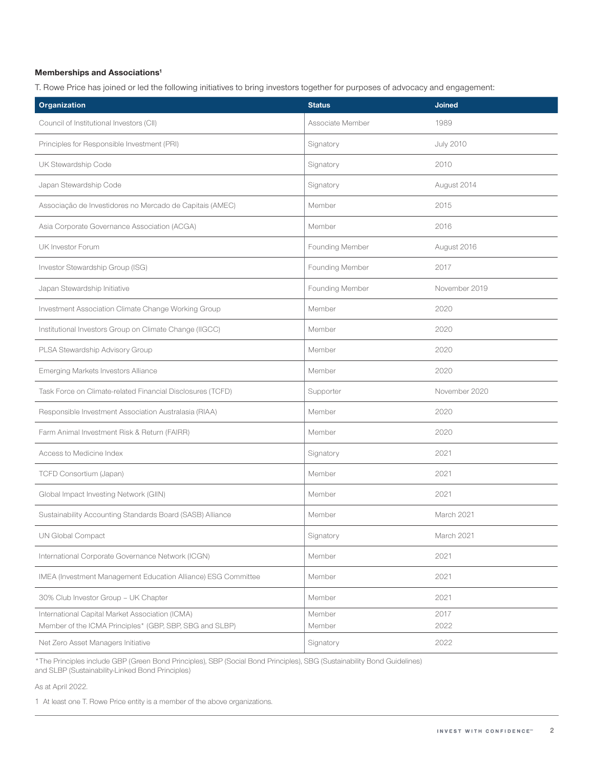# **Memberships and Associations1**

T. Rowe Price has joined or led the following initiatives to bring investors together for purposes of advocacy and engagement:

| Organization                                                  | <b>Status</b>    | <b>Joined</b>    |
|---------------------------------------------------------------|------------------|------------------|
| Council of Institutional Investors (CII)                      | Associate Member | 1989             |
| Principles for Responsible Investment (PRI)                   | Signatory        | <b>July 2010</b> |
| UK Stewardship Code                                           | Signatory        | 2010             |
| Japan Stewardship Code                                        | Signatory        | August 2014      |
| Associação de Investidores no Mercado de Capitais (AMEC)      | Member           | 2015             |
| Asia Corporate Governance Association (ACGA)                  | Member           | 2016             |
| UK Investor Forum                                             | Founding Member  | August 2016      |
| Investor Stewardship Group (ISG)                              | Founding Member  | 2017             |
| Japan Stewardship Initiative                                  | Founding Member  | November 2019    |
| Investment Association Climate Change Working Group           | Member           | 2020             |
| Institutional Investors Group on Climate Change (IIGCC)       | Member           | 2020             |
| PLSA Stewardship Advisory Group                               | Member           | 2020             |
| Emerging Markets Investors Alliance                           | Member           | 2020             |
| Task Force on Climate-related Financial Disclosures (TCFD)    | Supporter        | November 2020    |
| Responsible Investment Association Australasia (RIAA)         | Member           | 2020             |
| Farm Animal Investment Risk & Return (FAIRR)                  | Member           | 2020             |
| Access to Medicine Index                                      | Signatory        | 2021             |
| TCFD Consortium (Japan)                                       | Member           | 2021             |
| Global Impact Investing Network (GIIN)                        | Member           | 2021             |
| Sustainability Accounting Standards Board (SASB) Alliance     | Member           | March 2021       |
| UN Global Compact                                             | Signatory        | March 2021       |
| International Corporate Governance Network (ICGN)             | Member           | 2021             |
| IMEA (Investment Management Education Alliance) ESG Committee | Member           | 2021             |
| 30% Club Investor Group - UK Chapter                          | Member           | 2021             |
| International Capital Market Association (ICMA)               | Member           | 2017             |
| Member of the ICMA Principles* (GBP, SBP, SBG and SLBP)       | Member           | 2022             |
| Net Zero Asset Managers Initiative                            | Signatory        | 2022             |

\*The Principles include GBP (Green Bond Principles), SBP (Social Bond Principles), SBG (Sustainability Bond Guidelines) and SLBP (Sustainability-Linked Bond Principles)

As at April 2022.

1 At least one T. Rowe Price entity is a member of the above organizations.